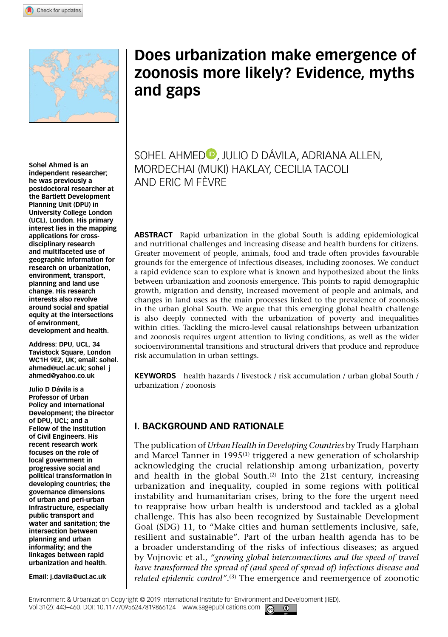**86[6124](http://crossmark.crossref.org/dialog/?doi=10.1177%2F0956247819866124&domain=pdf&date_stamp=2019-09-14)**EAU Environment & Urbanization



**Sohel Ahmed is an independent researcher; he was previously a postdoctoral researcher at the Bartlett Development Planning Unit (DPU) in University College London (UCL), London. His primary interest lies in the mapping applications for crossdisciplinary research and multifaceted use of geographic information for research on urbanization, environment, transport, planning and land use change. His research interests also revolve around social and spatial equity at the intersections of environment, development and health.**

**Address: DPU, UCL, 34 Tavistock Square, London WC1H 9EZ, UK; email: [sohel.](mailto:sohel.ahmed@ucl.ac.uk) [ahmed@ucl.ac.uk;](mailto:sohel.ahmed@ucl.ac.uk) [sohel\\_j\\_](mailto:sohel_j_ahmed@yahoo.co.uk) [ahmed@yahoo.co.uk](mailto:sohel_j_ahmed@yahoo.co.uk)**

**Julio D Dávila is a Professor of Urban Policy and International Development; the Director of DPU, UCL; and a Fellow of the Institution of Civil Engineers. His recent research work focuses on the role of local government in progressive social and political transformation in developing countries; the governance dimensions of urban and peri-urban infrastructure, especially public transport and water and sanitation; the intersection between planning and urban informality; and the linkages between rapid urbanization and health.** 

**Email: [j.davila@ucl.ac.uk](mailto:j.davila@ucl.ac.uk)**

# **Does urbanization make emergence of zoonosis more likely? Evidence, myths and gaps**

## SOHEL AHMED<sup>ID</sup>, JULIO D DÁVILA, ADRIANA ALLEN, Mordechai (MUKI) Haklay, Cecilia Tacoli and Eric M FÈvre

**Abstract** Rapid urbanization in the global South is adding epidemiological and nutritional challenges and increasing disease and health burdens for citizens. Greater movement of people, animals, food and trade often provides favourable grounds for the emergence of infectious diseases, including zoonoses. We conduct a rapid evidence scan to explore what is known and hypothesized about the links between urbanization and zoonosis emergence. This points to rapid demographic growth, migration and density, increased movement of people and animals, and changes in land uses as the main processes linked to the prevalence of zoonosis in the urban global South. We argue that this emerging global health challenge is also deeply connected with the urbanization of poverty and inequalities within cities. Tackling the micro-level causal relationships between urbanization and zoonosis requires urgent attention to living conditions, as well as the wider socioenvironmental transitions and structural drivers that produce and reproduce risk accumulation in urban settings.

**KEYWORDS** health hazards / livestock / risk accumulation / urban global South / urbanization / zoonosis

## **I. Background and Rationale**

The publication of *Urban Health in Developing Countries* by Trudy Harpham and Marcel Tanner in 1995<sup>(1)</sup> triggered a new generation of scholarship acknowledging the crucial relationship among urbanization, poverty and health in the global South. $(2)$  Into the 21st century, increasing urbanization and inequality, coupled in some regions with political instability and humanitarian crises, bring to the fore the urgent need to reappraise how urban health is understood and tackled as a global challenge. This has also been recognized by Sustainable Development Goal (SDG) 11, to "Make cities and human settlements inclusive, safe, resilient and sustainable". Part of the urban health agenda has to be a broader understanding of the risks of infectious diseases; as argued by Vojnovic et al., *"growing global interconnections and the speed of travel have transformed the spread of (and speed of spread of) infectious disease and related epidemic control"*.(3) The emergence and reemergence of zoonotic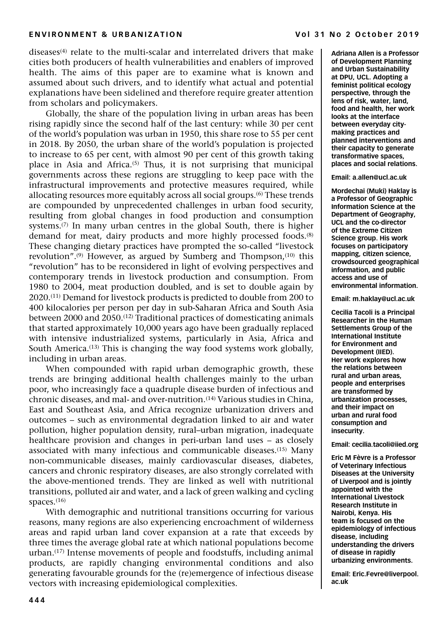diseases<sup>(4)</sup> relate to the multi-scalar and interrelated drivers that make cities both producers of health vulnerabilities and enablers of improved health. The aims of this paper are to examine what is known and assumed about such drivers, and to identify what actual and potential explanations have been sidelined and therefore require greater attention from scholars and policymakers.

Globally, the share of the population living in urban areas has been rising rapidly since the second half of the last century: while 30 per cent of the world's population was urban in 1950, this share rose to 55 per cent in 2018. By 2050, the urban share of the world's population is projected to increase to 65 per cent, with almost 90 per cent of this growth taking place in Asia and Africa.(5) Thus, it is not surprising that municipal governments across these regions are struggling to keep pace with the infrastructural improvements and protective measures required, while allocating resources more equitably across all social groups.(6) These trends are compounded by unprecedented challenges in urban food security, resulting from global changes in food production and consumption systems.<sup>(7)</sup> In many urban centres in the global South, there is higher demand for meat, dairy products and more highly processed foods.(8) These changing dietary practices have prompted the so-called "livestock revolution".(9) However, as argued by Sumberg and Thompson,(10) this "revolution" has to be reconsidered in light of evolving perspectives and contemporary trends in livestock production and consumption. From 1980 to 2004, meat production doubled, and is set to double again by 2020.(11) Demand for livestock products is predicted to double from 200 to 400 kilocalories per person per day in sub-Saharan Africa and South Asia between 2000 and 2050.(12) Traditional practices of domesticating animals that started approximately 10,000 years ago have been gradually replaced with intensive industrialized systems, particularly in Asia, Africa and South America.<sup>(13)</sup> This is changing the way food systems work globally, including in urban areas.

When compounded with rapid urban demographic growth, these trends are bringing additional health challenges mainly to the urban poor, who increasingly face a quadruple disease burden of infectious and chronic diseases, and mal- and over-nutrition.<sup>(14)</sup> Various studies in China, East and Southeast Asia, and Africa recognize urbanization drivers and outcomes – such as environmental degradation linked to air and water pollution, higher population density, rural–urban migration, inadequate healthcare provision and changes in peri-urban land uses – as closely associated with many infectious and communicable diseases.(15) Many non-communicable diseases, mainly cardiovascular diseases, diabetes, cancers and chronic respiratory diseases, are also strongly correlated with the above-mentioned trends. They are linked as well with nutritional transitions, polluted air and water, and a lack of green walking and cycling spaces.<sup>(16)</sup>

With demographic and nutritional transitions occurring for various reasons, many regions are also experiencing encroachment of wilderness areas and rapid urban land cover expansion at a rate that exceeds by three times the average global rate at which national populations become urban.(17) Intense movements of people and foodstuffs, including animal products, are rapidly changing environmental conditions and also generating favourable grounds for the (re)emergence of infectious disease vectors with increasing epidemiological complexities.

**Adriana Allen is a Professor of Development Planning and Urban Sustainability at DPU, UCL. Adopting a feminist political ecology perspective, through the lens of risk, water, land, food and health, her work looks at the interface between everyday citymaking practices and planned interventions and their capacity to generate transformative spaces, places and social relations.** 

**Email: [a.allen@ucl.ac.uk](mailto:a.allen@ucl.ac.uk)**

**Mordechai (Muki) Haklay is a Professor of Geographic Information Science at the Department of Geography, UCL and the co-director of the Extreme Citizen Science group. His work focuses on participatory mapping, citizen science, crowdsourced geographical information, and public access and use of environmental information.** 

**Email: [m.haklay@ucl.ac.uk](mailto:m.haklay@ucl.ac.uk)**

**Cecilia Tacoli is a Principal Researcher in the Human Settlements Group of the International Institute for Environment and Development (IIED). Her work explores how the relations between rural and urban areas, people and enterprises are transformed by urbanization processes, and their impact on urban and rural food consumption and insecurity.** 

#### **Email: [cecilia.tacoli@iied.org](mailto:cecilia.tacoli@iied.org)**

**Eric M Fèvre is a Professor of Veterinary Infectious Diseases at the University of Liverpool and is jointly appointed with the International Livestock Research Institute in Nairobi, Kenya. His team is focused on the epidemiology of infectious disease, including understanding the drivers of disease in rapidly urbanizing environments.** 

**Email: [Eric.Fevre@liverpool.](mailto:Eric.Fevre@liverpool.ac.uk) [ac.uk](mailto:Eric.Fevre@liverpool.ac.uk)**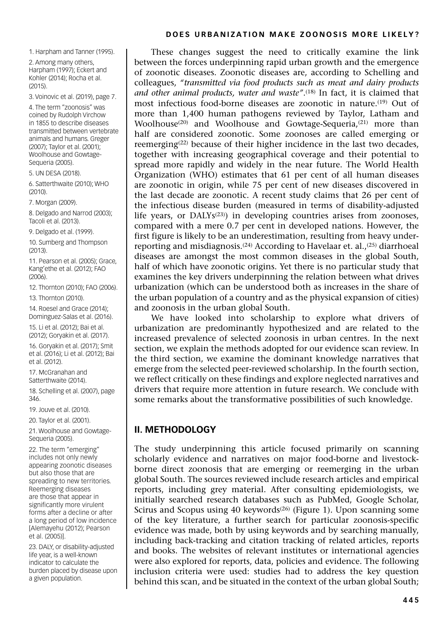1. Harpham and Tanner (1995).

2. Among many others, Harpham (1997); Eckert and Kohler (2014); Rocha et al. (2015).

3. Voinovic et al. (2019), page 7.

4. The term "zoonosis" was coined by Rudolph Virchow in 1855 to describe diseases transmitted between vertebrate animals and humans. Greger (2007); Taylor et al. (2001); Woolhouse and Gowtage-Sequeria (2005).

5. UN DESA (2018).

6. Satterthwaite (2010); WHO (2010).

7. Morgan (2009).

8. Delgado and Narrod (2003); Tacoli et al. (2013).

9. Delgado et al. (1999).

10. Sumberg and Thompson (2013).

11. Pearson et al. (2005); Grace, Kang'ethe et al. (2012); FAO (2006).

12. Thornton (2010); FAO (2006).

13. Thornton (2010).

14. Roesel and Grace (2014); Dominguez-Salas et al. (2016).

15. Li et al. (2012); Bai et al. (2012); Goryakin et al. (2017).

16. Goryakin et al. (2017); Smit et al. (2016); Li et al. (2012); Bai et al. (2012).

17. McGranahan and Satterthwaite (2014).

18. Schelling et al. (2007), page 346.

19. Jouve et al. (2010).

20. Taylor et al. (2001).

21. Woolhouse and Gowtage-Sequeria (2005).

22. The term "emerging" includes not only newly appearing zoonotic diseases but also those that are spreading to new territories. Reemerging diseases are those that appear in significantly more virulent forms after a decline or after a long period of low incidence [Alemayehu (2012); Pearson et al. (2005)].

23. DALY, or disability-adjusted life year, is a well-known indicator to calculate the burden placed by disease upon a given population.

These changes suggest the need to critically examine the link between the forces underpinning rapid urban growth and the emergence of zoonotic diseases. Zoonotic diseases are, according to Schelling and colleagues, *"transmitted via food products such as meat and dairy products*  and other animal products, water and waste".<sup>(18)</sup> In fact, it is claimed that most infectious food-borne diseases are zoonotic in nature.(19) Out of more than 1,400 human pathogens reviewed by Taylor, Latham and Woolhouse<sup>(20)</sup> and Woolhouse and Gowtage-Sequeria,<sup>(21)</sup> more than half are considered zoonotic. Some zoonoses are called emerging or reemerging(22) because of their higher incidence in the last two decades, together with increasing geographical coverage and their potential to spread more rapidly and widely in the near future. The World Health Organization (WHO) estimates that 61 per cent of all human diseases are zoonotic in origin, while 75 per cent of new diseases discovered in the last decade are zoonotic. A recent study claims that 26 per cent of the infectious disease burden (measured in terms of disability-adjusted life years, or  $DALYs<sup>(23)</sup>$  in developing countries arises from zoonoses, compared with a mere 0.7 per cent in developed nations. However, the first figure is likely to be an underestimation, resulting from heavy underreporting and misdiagnosis.<sup>(24)</sup> According to Havelaar et. al.,<sup>(25)</sup> diarrhoeal diseases are amongst the most common diseases in the global South, half of which have zoonotic origins. Yet there is no particular study that examines the key drivers underpinning the relation between what drives urbanization (which can be understood both as increases in the share of the urban population of a country and as the physical expansion of cities) and zoonosis in the urban global South.

We have looked into scholarship to explore what drivers of urbanization are predominantly hypothesized and are related to the increased prevalence of selected zoonosis in urban centres. In the next section, we explain the methods adopted for our evidence scan review. In the third section, we examine the dominant knowledge narratives that emerge from the selected peer-reviewed scholarship. In the fourth section, we reflect critically on these findings and explore neglected narratives and drivers that require more attention in future research. We conclude with some remarks about the transformative possibilities of such knowledge.

#### **II. Methodology**

The study underpinning this article focused primarily on scanning scholarly evidence and narratives on major food-borne and livestockborne direct zoonosis that are emerging or reemerging in the urban global South. The sources reviewed include research articles and empirical reports, including grey material. After consulting epidemiologists, we initially searched research databases such as PubMed, Google Scholar, Scirus and Scopus using 40 keywords<sup>(26)</sup> (Figure 1). Upon scanning some of the key literature, a further search for particular zoonosis-specific evidence was made, both by using keywords and by searching manually, including back-tracking and citation tracking of related articles, reports and books. The websites of relevant institutes or international agencies were also explored for reports, data, policies and evidence. The following inclusion criteria were used: studies had to address the key question behind this scan, and be situated in the context of the urban global South;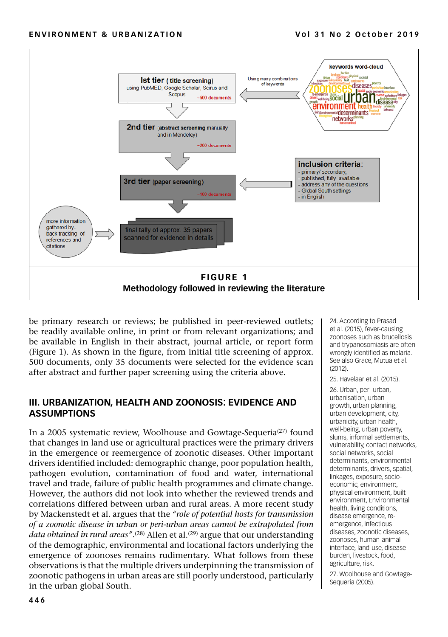

be primary research or reviews; be published in peer-reviewed outlets; be readily available online, in print or from relevant organizations; and be available in English in their abstract, journal article, or report form (Figure 1). As shown in the figure, from initial title screening of approx. 500 documents, only 35 documents were selected for the evidence scan after abstract and further paper screening using the criteria above.

## **III. Urbanization, Health and Zoonosis: Evidence and Assumptions**

In a 2005 systematic review, Woolhouse and Gowtage-Sequeria<sup>(27)</sup> found that changes in land use or agricultural practices were the primary drivers in the emergence or reemergence of zoonotic diseases. Other important drivers identified included: demographic change, poor population health, pathogen evolution, contamination of food and water, international travel and trade, failure of public health programmes and climate change. However, the authors did not look into whether the reviewed trends and correlations differed between urban and rural areas. A more recent study by Mackenstedt et al. argues that the *"role of potential hosts for transmission of a zoonotic disease in urban or peri-urban areas cannot be extrapolated from data obtained in rural areas"*.(28) Allen et al.(29) argue that our understanding of the demographic, environmental and locational factors underlying the emergence of zoonoses remains rudimentary. What follows from these observations is that the multiple drivers underpinning the transmission of zoonotic pathogens in urban areas are still poorly understood, particularly in the urban global South.

24. According to Prasad et al. (2015), fever-causing zoonoses such as brucellosis and trypanosomiasis are often wrongly identified as malaria. See also Grace, Mutua et al.  $(2012)$ 

25. Havelaar et al. (2015).

26. Urban, peri-urban, urbanisation, urban growth, urban planning, urban development, city, urbanicity, urban health, well-being, urban poverty, slums, informal settlements, vulnerability, contact networks, social networks, social determinants, environmental determinants, drivers, spatial, linkages, exposure, socioeconomic, environment physical environment, built environment, Environmental health, living conditions, disease emergence, reemergence, infectious diseases, zoonotic diseases, zoonoses, human-animal interface, land-use, disease burden, livestock, food, agriculture, risk.

27. Woolhouse and Gowtage-Sequeria (2005).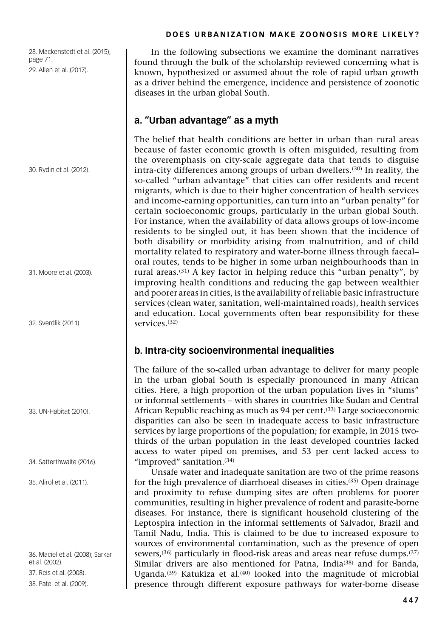#### **D O E S URB A N IZA T I ON MAKE Z OONOS I S M OR E L IKE LY ?**

28. Mackenstedt et al. (2015), page 71. 29. Allen et al. (2017).

In the following subsections we examine the dominant narratives found through the bulk of the scholarship reviewed concerning what is known, hypothesized or assumed about the role of rapid urban growth as a driver behind the emergence, incidence and persistence of zoonotic diseases in the urban global South.

## **a. "Urban advantage" as a myth**

The belief that health conditions are better in urban than rural areas because of faster economic growth is often misguided, resulting from the overemphasis on city-scale aggregate data that tends to disguise intra-city differences among groups of urban dwellers.(30) In reality, the so-called "urban advantage" that cities can offer residents and recent migrants, which is due to their higher concentration of health services and income-earning opportunities, can turn into an "urban penalty" for certain socioeconomic groups, particularly in the urban global South. For instance, when the availability of data allows groups of low-income residents to be singled out, it has been shown that the incidence of both disability or morbidity arising from malnutrition, and of child mortality related to respiratory and water-borne illness through faecal– oral routes, tends to be higher in some urban neighbourhoods than in rural areas.(31) A key factor in helping reduce this "urban penalty", by improving health conditions and reducing the gap between wealthier and poorer areas in cities, is the availability of reliable basic infrastructure services (clean water, sanitation, well-maintained roads), health services and education. Local governments often bear responsibility for these services.(32)

## **b. Intra-city socioenvironmental inequalities**

The failure of the so-called urban advantage to deliver for many people in the urban global South is especially pronounced in many African cities. Here, a high proportion of the urban population lives in "slums" or informal settlements – with shares in countries like Sudan and Central African Republic reaching as much as 94 per cent.<sup>(33)</sup> Large socioeconomic disparities can also be seen in inadequate access to basic infrastructure services by large proportions of the population; for example, in 2015 twothirds of the urban population in the least developed countries lacked access to water piped on premises, and 53 per cent lacked access to "improved" sanitation.<sup>(34)</sup>

Unsafe water and inadequate sanitation are two of the prime reasons for the high prevalence of diarrhoeal diseases in cities.(35) Open drainage and proximity to refuse dumping sites are often problems for poorer communities, resulting in higher prevalence of rodent and parasite-borne diseases. For instance, there is significant household clustering of the Leptospira infection in the informal settlements of Salvador, Brazil and Tamil Nadu, India. This is claimed to be due to increased exposure to sources of environmental contamination, such as the presence of open sewers,<sup>(36)</sup> particularly in flood-risk areas and areas near refuse dumps.<sup>(37)</sup> Similar drivers are also mentioned for Patna, India<sup>(38)</sup> and for Banda, Uganda.<sup>(39)</sup> Katukiza et al.<sup>(40)</sup> looked into the magnitude of microbial presence through different exposure pathways for water-borne disease

30. Rydin et al. (2012).

31. Moore et al. (2003).

32. Sverdlik (2011).

33. UN-Habitat (2010).

34. Satterthwaite (2016).

35. Alirol et al. (2011).

36. Maciel et al. (2008); Sarkar et al. (2002). 37. Reis et al. (2008). 38. Patel et al. (2009).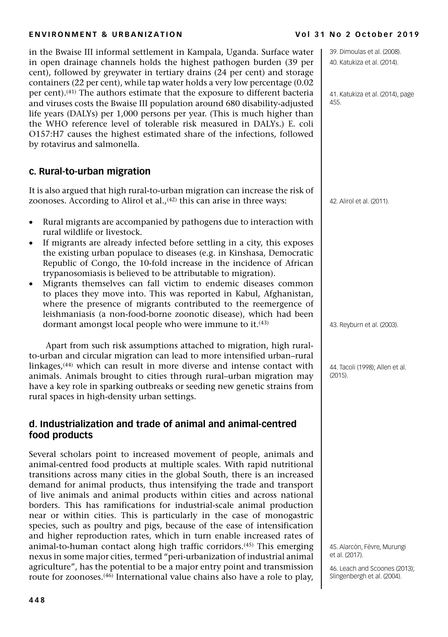in the Bwaise III informal settlement in Kampala, Uganda. Surface water in open drainage channels holds the highest pathogen burden (39 per cent), followed by greywater in tertiary drains (24 per cent) and storage containers (22 per cent), while tap water holds a very low percentage (0.02 per cent).<sup>(41)</sup> The authors estimate that the exposure to different bacteria and viruses costs the Bwaise III population around 680 disability-adjusted life years (DALYs) per 1,000 persons per year. (This is much higher than the WHO reference level of tolerable risk measured in DALYs.) E. coli O157:H7 causes the highest estimated share of the infections, followed by rotavirus and salmonella.

## **c. Rural-to-urban migration**

It is also argued that high rural-to-urban migration can increase the risk of zoonoses. According to Alirol et al.,<sup>(42)</sup> this can arise in three ways:

- Rural migrants are accompanied by pathogens due to interaction with rural wildlife or livestock.
- If migrants are already infected before settling in a city, this exposes the existing urban populace to diseases (e.g. in Kinshasa, Democratic Republic of Congo, the 10-fold increase in the incidence of African trypanosomiasis is believed to be attributable to migration).
- Migrants themselves can fall victim to endemic diseases common to places they move into. This was reported in Kabul, Afghanistan, where the presence of migrants contributed to the reemergence of leishmaniasis (a non-food-borne zoonotic disease), which had been dormant amongst local people who were immune to it.<sup>(43)</sup>

Apart from such risk assumptions attached to migration, high ruralto-urban and circular migration can lead to more intensified urban–rural linkages,(44) which can result in more diverse and intense contact with animals. Animals brought to cities through rural–urban migration may have a key role in sparking outbreaks or seeding new genetic strains from rural spaces in high-density urban settings.

## **d. Industrialization and trade of animal and animal-centred food products**

Several scholars point to increased movement of people, animals and animal-centred food products at multiple scales. With rapid nutritional transitions across many cities in the global South, there is an increased demand for animal products, thus intensifying the trade and transport of live animals and animal products within cities and across national borders. This has ramifications for industrial-scale animal production near or within cities. This is particularly in the case of monogastric species, such as poultry and pigs, because of the ease of intensification and higher reproduction rates, which in turn enable increased rates of animal-to-human contact along high traffic corridors.(45) This emerging nexus in some major cities, termed "peri-urbanization of industrial animal agriculture", has the potential to be a major entry point and transmission route for zoonoses.(46) International value chains also have a role to play,

39. Dimoulas et al. (2008). 40. Katukiza et al. (2014). 41. Katukiza et al. (2014), page 455. 42. Alirol et al. (2011). 43. Reyburn et al. (2003). 44. Tacoli (1998); Allen et al.  $(2015)$ 45. Alarcón, Fèvre, Murungi et al. (2017).

46. Leach and Scoones (2013); Slingenbergh et al. (2004).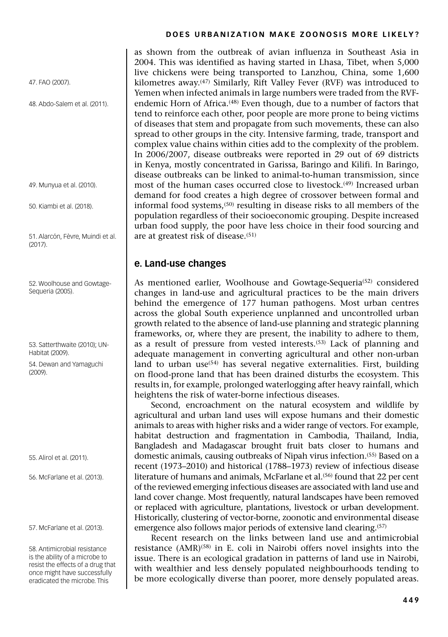#### **D O E S URB A N IZA T I ON MAKE Z OONOS I S M OR E L IKE LY ?**

47. FAO (2007).

48. Abdo-Salem et al. (2011).

49. Munyua et al. (2010).

50. Kiambi et al. (2018).

51. Alarcón, Fèvre, Muindi et al.  $(2017)$ 

52. Woolhouse and Gowtage-Sequeria (2005).

53. Satterthwaite (2010); UN-Habitat (2009).

54. Dewan and Yamaguchi (2009).

55. Alirol et al. (2011).

56. McFarlane et al. (2013).

57. McFarlane et al. (2013).

58. Antimicrobial resistance is the ability of a microbe to resist the effects of a drug that once might have successfully eradicated the microbe. This

as shown from the outbreak of avian influenza in Southeast Asia in 2004. This was identified as having started in Lhasa, Tibet, when 5,000 live chickens were being transported to Lanzhou, China, some 1,600 kilometres away.(47) Similarly, Rift Valley Fever (RVF) was introduced to Yemen when infected animals in large numbers were traded from the RVFendemic Horn of Africa.<sup>(48)</sup> Even though, due to a number of factors that tend to reinforce each other, poor people are more prone to being victims of diseases that stem and propagate from such movements, these can also spread to other groups in the city. Intensive farming, trade, transport and complex value chains within cities add to the complexity of the problem. In 2006/2007, disease outbreaks were reported in 29 out of 69 districts in Kenya, mostly concentrated in Garissa, Baringo and Kilifi. In Baringo, disease outbreaks can be linked to animal-to-human transmission, since most of the human cases occurred close to livestock.(49) Increased urban demand for food creates a high degree of crossover between formal and informal food systems,(50) resulting in disease risks to all members of the population regardless of their socioeconomic grouping. Despite increased urban food supply, the poor have less choice in their food sourcing and are at greatest risk of disease.(51)

#### **e. Land-use changes**

As mentioned earlier, Woolhouse and Gowtage-Sequeria<sup>(52)</sup> considered changes in land-use and agricultural practices to be the main drivers behind the emergence of 177 human pathogens. Most urban centres across the global South experience unplanned and uncontrolled urban growth related to the absence of land-use planning and strategic planning frameworks, or, where they are present, the inability to adhere to them, as a result of pressure from vested interests.(53) Lack of planning and adequate management in converting agricultural and other non-urban land to urban use $(54)$  has several negative externalities. First, building on flood-prone land that has been drained disturbs the ecosystem. This results in, for example, prolonged waterlogging after heavy rainfall, which heightens the risk of water-borne infectious diseases.

Second, encroachment on the natural ecosystem and wildlife by agricultural and urban land uses will expose humans and their domestic animals to areas with higher risks and a wider range of vectors. For example, habitat destruction and fragmentation in Cambodia, Thailand, India, Bangladesh and Madagascar brought fruit bats closer to humans and domestic animals, causing outbreaks of Nipah virus infection.(55) Based on a recent (1973–2010) and historical (1788–1973) review of infectious disease literature of humans and animals, McFarlane et al.<sup>(56)</sup> found that 22 per cent of the reviewed emerging infectious diseases are associated with land use and land cover change. Most frequently, natural landscapes have been removed or replaced with agriculture, plantations, livestock or urban development. Historically, clustering of vector-borne, zoonotic and environmental disease emergence also follows major periods of extensive land clearing.<sup>(57)</sup>

Recent research on the links between land use and antimicrobial resistance (AMR)(58) in E. coli in Nairobi offers novel insights into the issue. There is an ecological gradation in patterns of land use in Nairobi, with wealthier and less densely populated neighbourhoods tending to be more ecologically diverse than poorer, more densely populated areas.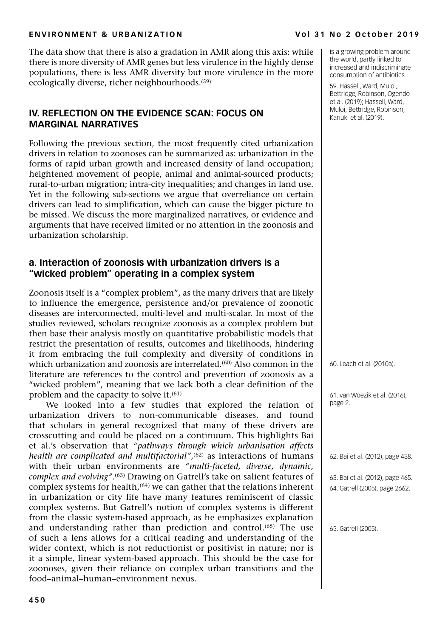The data show that there is also a gradation in AMR along this axis: while there is more diversity of AMR genes but less virulence in the highly dense populations, there is less AMR diversity but more virulence in the more ecologically diverse, richer neighbourhoods.(59)

## **IV. Reflection on the Evidence Scan: Focus on Marginal Narratives**

Following the previous section, the most frequently cited urbanization drivers in relation to zoonoses can be summarized as: urbanization in the forms of rapid urban growth and increased density of land occupation; heightened movement of people, animal and animal-sourced products; rural-to-urban migration; intra-city inequalities; and changes in land use. Yet in the following sub-sections we argue that overreliance on certain drivers can lead to simplification, which can cause the bigger picture to be missed. We discuss the more marginalized narratives, or evidence and arguments that have received limited or no attention in the zoonosis and urbanization scholarship.

## **a. Interaction of zoonosis with urbanization drivers is a "wicked problem" operating in a complex system**

Zoonosis itself is a "complex problem", as the many drivers that are likely to influence the emergence, persistence and/or prevalence of zoonotic diseases are interconnected, multi-level and multi-scalar. In most of the studies reviewed, scholars recognize zoonosis as a complex problem but then base their analysis mostly on quantitative probabilistic models that restrict the presentation of results, outcomes and likelihoods, hindering it from embracing the full complexity and diversity of conditions in which urbanization and zoonosis are interrelated.<sup>(60)</sup> Also common in the literature are references to the control and prevention of zoonosis as a "wicked problem", meaning that we lack both a clear definition of the problem and the capacity to solve it.(61)

We looked into a few studies that explored the relation of urbanization drivers to non-communicable diseases, and found that scholars in general recognized that many of these drivers are crosscutting and could be placed on a continuum. This highlights Bai et al.'s observation that *"pathways through which urbanisation affects health are complicated and multifactorial"*,<sup>(62)</sup> as interactions of humans with their urban environments are *"multi-faceted, diverse, dynamic, complex and evolving"*.(63) Drawing on Gatrell's take on salient features of complex systems for health,<sup>(64)</sup> we can gather that the relations inherent in urbanization or city life have many features reminiscent of classic complex systems. But Gatrell's notion of complex systems is different from the classic system-based approach, as he emphasizes explanation and understanding rather than prediction and control.(65) The use of such a lens allows for a critical reading and understanding of the wider context, which is not reductionist or positivist in nature; nor is it a simple, linear system-based approach. This should be the case for zoonoses, given their reliance on complex urban transitions and the food–animal–human–environment nexus.

is a growing problem around the world, partly linked to increased and indiscriminate consumption of antibiotics.

59. Hassell, Ward, Muloi, Bettridge, Robinson, Ogendo et al. (2019); Hassell, Ward, Muloi, Bettridge, Robinson, Kariuki et al. (2019).

60. Leach et al. (2010a).

61. van Woezik et al. (2016), page 2.

62. Bai et al. (2012), page 438.

63. Bai et al. (2012), page 465. 64. Gatrell (2005), page 2662.

65. Gatrell (2005).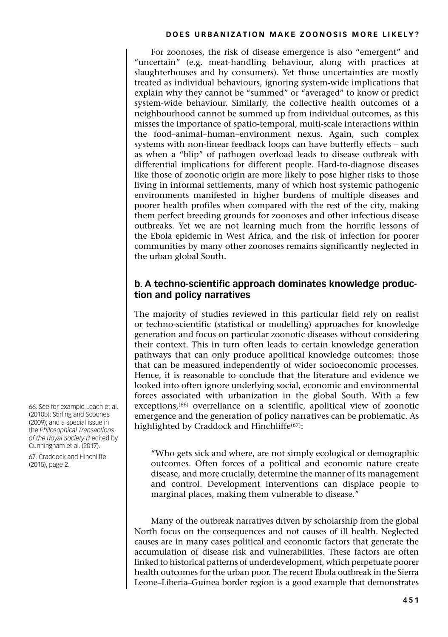For zoonoses, the risk of disease emergence is also "emergent" and "uncertain" (e.g. meat-handling behaviour, along with practices at slaughterhouses and by consumers). Yet those uncertainties are mostly treated as individual behaviours, ignoring system-wide implications that explain why they cannot be "summed" or "averaged" to know or predict system-wide behaviour. Similarly, the collective health outcomes of a neighbourhood cannot be summed up from individual outcomes, as this misses the importance of spatio-temporal, multi-scale interactions within the food–animal–human–environment nexus. Again, such complex systems with non-linear feedback loops can have butterfly effects – such as when a "blip" of pathogen overload leads to disease outbreak with differential implications for different people. Hard-to-diagnose diseases like those of zoonotic origin are more likely to pose higher risks to those living in informal settlements, many of which host systemic pathogenic environments manifested in higher burdens of multiple diseases and poorer health profiles when compared with the rest of the city, making them perfect breeding grounds for zoonoses and other infectious disease outbreaks. Yet we are not learning much from the horrific lessons of the Ebola epidemic in West Africa, and the risk of infection for poorer communities by many other zoonoses remains significantly neglected in the urban global South.

## **b. A techno-scientific approach dominates knowledge production and policy narratives**

The majority of studies reviewed in this particular field rely on realist or techno-scientific (statistical or modelling) approaches for knowledge generation and focus on particular zoonotic diseases without considering their context. This in turn often leads to certain knowledge generation pathways that can only produce apolitical knowledge outcomes: those that can be measured independently of wider socioeconomic processes. Hence, it is reasonable to conclude that the literature and evidence we looked into often ignore underlying social, economic and environmental forces associated with urbanization in the global South. With a few exceptions,<sup>(66)</sup> overreliance on a scientific, apolitical view of zoonotic emergence and the generation of policy narratives can be problematic. As highlighted by Craddock and Hinchliffe<sup>(67)</sup>:

"Who gets sick and where, are not simply ecological or demographic outcomes. Often forces of a political and economic nature create disease, and more crucially, determine the manner of its management and control. Development interventions can displace people to marginal places, making them vulnerable to disease."

Many of the outbreak narratives driven by scholarship from the global North focus on the consequences and not causes of ill health. Neglected causes are in many cases political and economic factors that generate the accumulation of disease risk and vulnerabilities. These factors are often linked to historical patterns of underdevelopment, which perpetuate poorer health outcomes for the urban poor. The recent Ebola outbreak in the Sierra Leone–Liberia–Guinea border region is a good example that demonstrates

66. See for example Leach et al. (2010b); Stirling and Scoones (2009); and a special issue in the *Philosophical Transactions of the Royal Society B* edited by Cunningham et al. (2017).

67. Craddock and Hinchliffe (2015), page 2.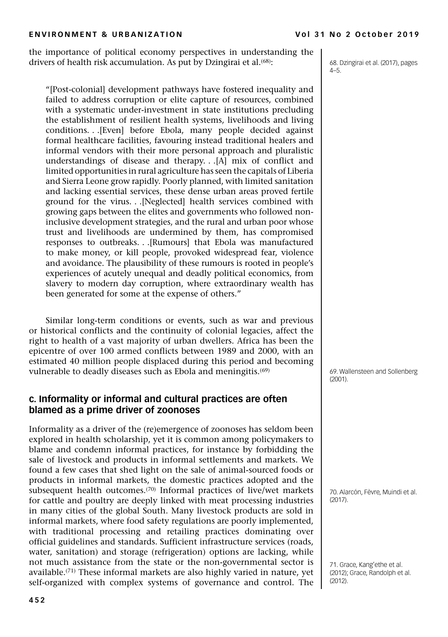the importance of political economy perspectives in understanding the drivers of health risk accumulation. As put by Dzingirai et al.<sup>(68)</sup>:

"[Post-colonial] development pathways have fostered inequality and failed to address corruption or elite capture of resources, combined with a systematic under-investment in state institutions precluding the establishment of resilient health systems, livelihoods and living conditions. . .[Even] before Ebola, many people decided against formal healthcare facilities, favouring instead traditional healers and informal vendors with their more personal approach and pluralistic understandings of disease and therapy. . .[A] mix of conflict and limited opportunities in rural agriculture has seen the capitals of Liberia and Sierra Leone grow rapidly. Poorly planned, with limited sanitation and lacking essential services, these dense urban areas proved fertile ground for the virus. . .[Neglected] health services combined with growing gaps between the elites and governments who followed noninclusive development strategies, and the rural and urban poor whose trust and livelihoods are undermined by them, has compromised responses to outbreaks. . .[Rumours] that Ebola was manufactured to make money, or kill people, provoked widespread fear, violence and avoidance. The plausibility of these rumours is rooted in people's experiences of acutely unequal and deadly political economics, from slavery to modern day corruption, where extraordinary wealth has been generated for some at the expense of others."

Similar long-term conditions or events, such as war and previous or historical conflicts and the continuity of colonial legacies, affect the right to health of a vast majority of urban dwellers. Africa has been the epicentre of over 100 armed conflicts between 1989 and 2000, with an estimated 40 million people displaced during this period and becoming vulnerable to deadly diseases such as Ebola and meningitis.(69)

#### **c. Informality or informal and cultural practices are often blamed as a prime driver of zoonoses**

Informality as a driver of the (re)emergence of zoonoses has seldom been explored in health scholarship, yet it is common among policymakers to blame and condemn informal practices, for instance by forbidding the sale of livestock and products in informal settlements and markets. We found a few cases that shed light on the sale of animal-sourced foods or products in informal markets, the domestic practices adopted and the subsequent health outcomes.(70) Informal practices of live/wet markets for cattle and poultry are deeply linked with meat processing industries in many cities of the global South. Many livestock products are sold in informal markets, where food safety regulations are poorly implemented, with traditional processing and retailing practices dominating over official guidelines and standards. Sufficient infrastructure services (roads, water, sanitation) and storage (refrigeration) options are lacking, while not much assistance from the state or the non-governmental sector is available.(71) These informal markets are also highly varied in nature, yet self-organized with complex systems of governance and control. The 68. Dzingirai et al. (2017), pages 4–5.

69. Wallensteen and Sollenberg  $(2001)$ 

70. Alarcón, Fèvre, Muindi et al. (2017).

71. Grace, Kang'ethe et al. (2012); Grace, Randolph et al. (2012).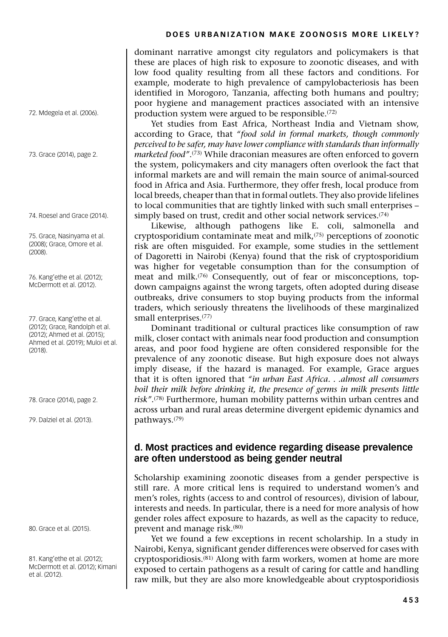#### **D O E S URB A N IZA T I ON MAKE Z OONOS I S M OR E L IKE LY ?**

dominant narrative amongst city regulators and policymakers is that these are places of high risk to exposure to zoonotic diseases, and with low food quality resulting from all these factors and conditions. For example, moderate to high prevalence of campylobacteriosis has been identified in Morogoro, Tanzania, affecting both humans and poultry; poor hygiene and management practices associated with an intensive production system were argued to be responsible.(72)

Yet studies from East Africa, Northeast India and Vietnam show, according to Grace, that *"food sold in formal markets, though commonly perceived to be safer, may have lower compliance with standards than informally marketed food"*.(73) While draconian measures are often enforced to govern the system, policymakers and city managers often overlook the fact that informal markets are and will remain the main source of animal-sourced food in Africa and Asia. Furthermore, they offer fresh, local produce from local breeds, cheaper than that in formal outlets. They also provide lifelines to local communities that are tightly linked with such small enterprises – simply based on trust, credit and other social network services.<sup>(74)</sup>

Likewise, although pathogens like E. coli, salmonella and cryptosporidium contaminate meat and milk,(75) perceptions of zoonotic risk are often misguided. For example, some studies in the settlement of Dagoretti in Nairobi (Kenya) found that the risk of cryptosporidium was higher for vegetable consumption than for the consumption of meat and milk.<sup>(76)</sup> Consequently, out of fear or misconceptions, topdown campaigns against the wrong targets, often adopted during disease outbreaks, drive consumers to stop buying products from the informal traders, which seriously threatens the livelihoods of these marginalized small enterprises.<sup>(77)</sup>

Dominant traditional or cultural practices like consumption of raw milk, closer contact with animals near food production and consumption areas, and poor food hygiene are often considered responsible for the prevalence of any zoonotic disease. But high exposure does not always imply disease, if the hazard is managed. For example, Grace argues that it is often ignored that *"in urban East Africa. . .almost all consumers boil their milk before drinking it, the presence of germs in milk presents little risk"*.(78) Furthermore, human mobility patterns within urban centres and across urban and rural areas determine divergent epidemic dynamics and pathways.(79)

## **d. Most practices and evidence regarding disease prevalence are often understood as being gender neutral**

Scholarship examining zoonotic diseases from a gender perspective is still rare. A more critical lens is required to understand women's and men's roles, rights (access to and control of resources), division of labour, interests and needs. In particular, there is a need for more analysis of how gender roles affect exposure to hazards, as well as the capacity to reduce, prevent and manage risk.(80)

Yet we found a few exceptions in recent scholarship. In a study in Nairobi, Kenya, significant gender differences were observed for cases with cryptosporidiosis.(81) Along with farm workers, women at home are more exposed to certain pathogens as a result of caring for cattle and handling raw milk, but they are also more knowledgeable about cryptosporidiosis

72. Mdegela et al. (2006).

73. Grace (2014), page 2.

74. Roesel and Grace (2014).

75. Grace, Nasinyama et al. (2008); Grace, Omore et al. (2008).

76. Kang'ethe et al. (2012); McDermott et al. (2012).

77. Grace, Kang'ethe et al. (2012); Grace, Randolph et al. (2012); Ahmed et al. (2015); Ahmed et al. (2019); Muloi et al. (2018).

78. Grace (2014), page 2.

79. Dalziel et al. (2013).

80. Grace et al. (2015).

81. Kang'ethe et al. (2012); McDermott et al. (2012); Kimani et al. (2012).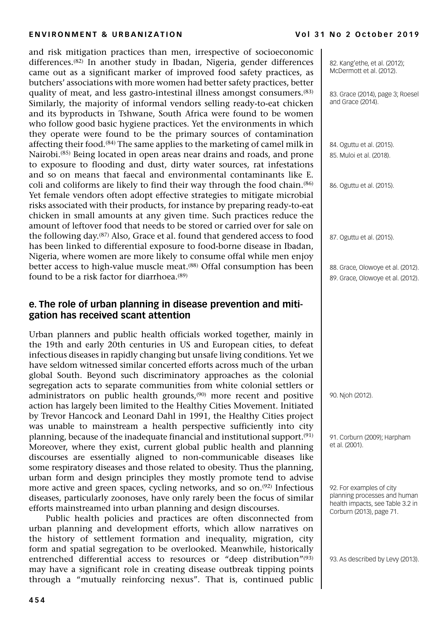and risk mitigation practices than men, irrespective of socioeconomi differences.<sup>(82)</sup> In another study in Ibadan, Nigeria, gender difference came out as a significant marker of improved food safety practices, a butchers' associations with more women had better safety practices, bette quality of meat, and less gastro-intestinal illness amongst consumers.<sup>(8</sup> Similarly, the majority of informal vendors selling ready-to-eat chicken and its byproducts in Tshwane, South Africa were found to be women who follow good basic hygiene practices. Yet the environments in which they operate were found to be the primary sources of contamination affecting their food.(84) The same applies to the marketing of camel milk in Nairobi.<sup>(85)</sup> Being located in open areas near drains and roads, and pron to exposure to flooding and dust, dirty water sources, rat infestation and so on means that faecal and environmental contaminants like I coli and coliforms are likely to find their way through the food chain.<sup>(8</sup>) Yet female vendors often adopt effective strategies to mitigate microbial risks associated with their products, for instance by preparing ready-to-ea chicken in small amounts at any given time. Such practices reduce the amount of leftover food that needs to be stored or carried over for sale on the following day. $(87)$  Also, Grace et al. found that gendered access to food has been linked to differential exposure to food-borne disease in Ibadan Nigeria, where women are more likely to consume offal while men enjo better access to high-value muscle meat.<sup>(88)</sup> Offal consumption has been found to be a risk factor for diarrhoea<sup> $(89)$ </sup>

## **e. The role of urban planning in disease prevention and mitigation has received scant attention**

Urban planners and public health officials worked together, mainly in the 19th and early 20th centuries in US and European cities, to defeation infectious diseases in rapidly changing but unsafe living conditions. Yet w have seldom witnessed similar concerted efforts across much of the urban global South. Beyond such discriminatory approaches as the colonial segregation acts to separate communities from white colonial settlers or administrators on public health grounds,<sup>(90)</sup> more recent and positiv action has largely been limited to the Healthy Cities Movement. Initiate by Trevor Hancock and Leonard Dahl in 1991, the Healthy Cities projection was unable to mainstream a health perspective sufficiently into cit planning, because of the inadequate financial and institutional support.<sup>(9</sup>) Moreover, where they exist, current global public health and plannin discourses are essentially aligned to non-communicable diseases like some respiratory diseases and those related to obesity. Thus the planning, urban form and design principles they mostly promote tend to advis more active and green spaces, cycling networks, and so on.<sup>(92)</sup> Infectious diseases, particularly zoonoses, have only rarely been the focus of similar efforts mainstreamed into urban planning and design discourses.

Public health policies and practices are often disconnected from urban planning and development efforts, which allow narratives on the history of settlement formation and inequality, migration, city form and spatial segregation to be overlooked. Meanwhile, historicall entrenched differential access to resources or "deep distribution"<sup>(9)</sup> may have a significant role in creating disease outbreak tipping point through a "mutually reinforcing nexus". That is, continued public

| ıc<br>2S<br>as<br>$\overline{\mathbf{r}}$<br>$\boldsymbol{3}$<br>n<br>n<br>h<br>n<br>n<br>ıe<br>ıs<br>E.<br>i6)<br>al<br>at<br>ıe<br>n | 82. Kang'ethe, et al. (2012);<br>McDermott et al. (2012).<br>83. Grace (2014), page 3; Roesel<br>and Grace (2014).<br>84. Oguttu et al. (2015).<br>85. Muloi et al. (2018).<br>86. Oguttu et al. (2015). |
|----------------------------------------------------------------------------------------------------------------------------------------|----------------------------------------------------------------------------------------------------------------------------------------------------------------------------------------------------------|
| ١d<br>ı,                                                                                                                               | 87. Oguttu et al. (2015).                                                                                                                                                                                |
| ١y<br>n                                                                                                                                | 88. Grace, Olowoye et al. (2012).<br>89. Grace, Olowoye et al. (2012).                                                                                                                                   |
| n<br>at<br>7e<br>n<br>al                                                                                                               |                                                                                                                                                                                                          |
| οr<br>7e<br>٠d<br>ct                                                                                                                   | 90. Njoh (2012).                                                                                                                                                                                         |
| y<br>(1<br>ιg<br>ζe                                                                                                                    | 91. Corburn (2009); Harpham<br>et al. (2001).                                                                                                                                                            |
| g,<br>se<br>ıs<br>ar<br>$\mathfrak n$<br>n                                                                                             | 92. For examples of city<br>planning processes and human<br>health impacts, see Table 3.2 in<br>Corburn (2013), page 71.                                                                                 |
| y<br>ly<br>13)<br>ts                                                                                                                   | 93. As described by Levy (2013).                                                                                                                                                                         |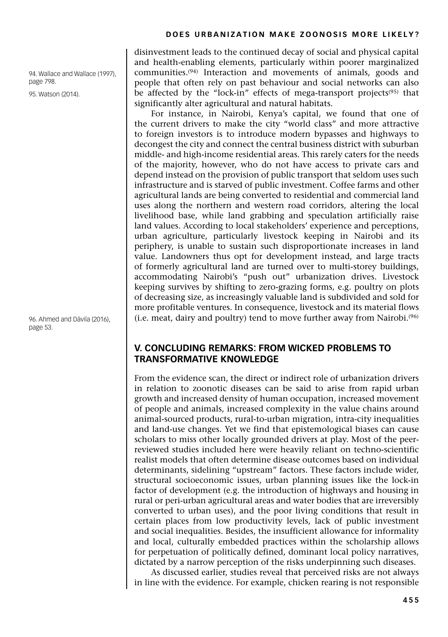94. Wallace and Wallace (1997), page 798.

95. Watson (2014).

disinvestment leads to the continued decay of social and physical capital and health-enabling elements, particularly within poorer marginalized communities.(94) Interaction and movements of animals, goods and people that often rely on past behaviour and social networks can also be affected by the "lock-in" effects of mega-transport projects<sup>(95)</sup> that significantly alter agricultural and natural habitats.

For instance, in Nairobi, Kenya's capital, we found that one of the current drivers to make the city "world class" and more attractive to foreign investors is to introduce modern bypasses and highways to decongest the city and connect the central business district with suburban middle- and high-income residential areas. This rarely caters for the needs of the majority, however, who do not have access to private cars and depend instead on the provision of public transport that seldom uses such infrastructure and is starved of public investment. Coffee farms and other agricultural lands are being converted to residential and commercial land uses along the northern and western road corridors, altering the local livelihood base, while land grabbing and speculation artificially raise land values. According to local stakeholders' experience and perceptions, urban agriculture, particularly livestock keeping in Nairobi and its periphery, is unable to sustain such disproportionate increases in land value. Landowners thus opt for development instead, and large tracts of formerly agricultural land are turned over to multi-storey buildings, accommodating Nairobi's "push out" urbanization drives. Livestock keeping survives by shifting to zero-grazing forms, e.g. poultry on plots of decreasing size, as increasingly valuable land is subdivided and sold for more profitable ventures. In consequence, livestock and its material flows (i.e. meat, dairy and poultry) tend to move further away from Nairobi.(96)

## **V. Concluding Remarks: From Wicked Problems to Transformative Knowledge**

From the evidence scan, the direct or indirect role of urbanization drivers in relation to zoonotic diseases can be said to arise from rapid urban growth and increased density of human occupation, increased movement of people and animals, increased complexity in the value chains around animal-sourced products, rural-to-urban migration, intra-city inequalities and land-use changes. Yet we find that epistemological biases can cause scholars to miss other locally grounded drivers at play. Most of the peerreviewed studies included here were heavily reliant on techno-scientific realist models that often determine disease outcomes based on individual determinants, sidelining "upstream" factors. These factors include wider, structural socioeconomic issues, urban planning issues like the lock-in factor of development (e.g. the introduction of highways and housing in rural or peri-urban agricultural areas and water bodies that are irreversibly converted to urban uses), and the poor living conditions that result in certain places from low productivity levels, lack of public investment and social inequalities. Besides, the insufficient allowance for informality and local, culturally embedded practices within the scholarship allows for perpetuation of politically defined, dominant local policy narratives, dictated by a narrow perception of the risks underpinning such diseases.

As discussed earlier, studies reveal that perceived risks are not always in line with the evidence. For example, chicken rearing is not responsible

96. Ahmed and Dávila (2016), page 53.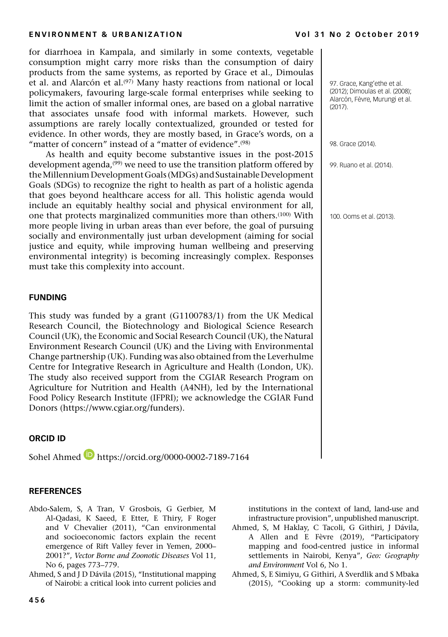for diarrhoea in Kampala, and similarly in some contexts, vegetable consumption might carry more risks than the consumption of dairy products from the same systems, as reported by Grace et al., Dimoulas et al. and Alarcón et al.(97) Many hasty reactions from national or local policymakers, favouring large-scale formal enterprises while seeking to limit the action of smaller informal ones, are based on a global narrative that associates unsafe food with informal markets. However, such assumptions are rarely locally contextualized, grounded or tested for evidence. In other words, they are mostly based, in Grace's words, on a

"matter of concern" instead of a "matter of evidence".(98) As health and equity become substantive issues in the post-2015 development agenda,<sup>(99)</sup> we need to use the transition platform offered by the Millennium Development Goals (MDGs) and Sustainable Development Goals (SDGs) to recognize the right to health as part of a holistic agenda that goes beyond healthcare access for all. This holistic agenda would include an equitably healthy social and physical environment for all, one that protects marginalized communities more than others.(100) With more people living in urban areas than ever before, the goal of pursuing socially and environmentally just urban development (aiming for social justice and equity, while improving human wellbeing and preserving environmental integrity) is becoming increasingly complex. Responses must take this complexity into account.

#### **Funding**

This study was funded by a grant (G1100783/1) from the UK Medical Research Council, the Biotechnology and Biological Science Research Council (UK), the Economic and Social Research Council (UK), the Natural Environment Research Council (UK) and the Living with Environmental Change partnership (UK). Funding was also obtained from the Leverhulme Centre for Integrative Research in Agriculture and Health (London, UK). The study also received support from the CGIAR Research Program on Agriculture for Nutrition and Health (A4NH), led by the International Food Policy Research Institute (IFPRI); we acknowledge the CGIAR Fund Donors (<https://www.cgiar.org/funders>).

#### **ORCID iD**

Sohel Ahmed **<https://orcid.org/0000-0002-7189-7164>** 

#### **References**

- Abdo-Salem, S, A Tran, V Grosbois, G Gerbier, M Al-Qadasi, K Saeed, E Etter, E Thiry, F Roger and V Chevalier (2011), "Can environmental and socioeconomic factors explain the recent emergence of Rift Valley fever in Yemen, 2000– 2001?", *Vector Borne and Zoonotic Diseases* Vol 11, No 6, pages 773–779.
- Ahmed, S and J D Dávila (2015), "Institutional mapping of Nairobi: a critical look into current policies and

97. Grace, Kang'ethe et al. (2012); Dimoulas et al. (2008); Alarcón, Fèvre, Murungi et al. (2017).

98. Grace (2014).

99. Ruano et al. (2014).

100. Ooms et al. (2013).

institutions in the context of land, land-use and infrastructure provision", unpublished manuscript.

- Ahmed, S, M Haklay, C Tacoli, G Githiri, J Dávila, A Allen and E Fèvre (2019), "Participatory mapping and food-centred justice in informal settlements in Nairobi, Kenya", *Geo: Geography and Environment* Vol 6, No 1.
- Ahmed, S, E Simiyu, G Githiri, A Sverdlik and S Mbaka (2015), "Cooking up a storm: community-led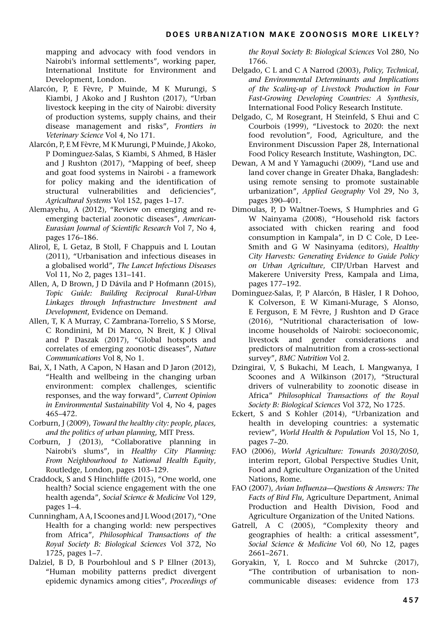mapping and advocacy with food vendors in Nairobi's informal settlements", working paper, International Institute for Environment and Development, London.

- Alarcón, P, E Fèvre, P Muinde, M K Murungi, S Kiambi, J Akoko and J Rushton (2017), "Urban livestock keeping in the city of Nairobi: diversity of production systems, supply chains, and their disease management and risks", *Frontiers in Veterinary Science* Vol 4, No 171.
- Alarcón, P, E M Fèvre, M K Murungi, P Muinde, J Akoko, P Dominguez-Salas, S Kiambi, S Ahmed, B Häsler and J Rushton (2017), "Mapping of beef, sheep and goat food systems in Nairobi - a framework for policy making and the identification of structural vulnerabilities and deficiencies", *Agricultural Systems* Vol 152, pages 1–17.
- Alemayehu, A (2012), "Review on emerging and reemerging bacterial zoonotic diseases", *American-Eurasian Journal of Scientific Research* Vol 7, No 4, pages 176–186.
- Alirol, E, L Getaz, B Stoll, F Chappuis and L Loutan (2011), "Urbanisation and infectious diseases in a globalised world", *The Lancet Infectious Diseases* Vol 11, No 2, pages 131–141.
- Allen, A, D Brown, J D Dávila and P Hofmann (2015), *Topic Guide: Building Reciprocal Rural-Urban Linkages through Infrastructure Investment and Development*, Evidence on Demand.
- Allen, T, K A Murray, C Zambrana-Torrelio, S S Morse, C Rondinini, M Di Marco, N Breit, K J Olival and P Daszak (2017), "Global hotspots and correlates of emerging zoonotic diseases", *Nature Communications* Vol 8, No 1.
- Bai, X, I Nath, A Capon, N Hasan and D Jaron (2012), "Health and wellbeing in the changing urban environment: complex challenges, scientific responses, and the way forward", *Current Opinion in Environmental Sustainability* Vol 4, No 4, pages 465–472.
- Corburn, J (2009), *Toward the healthy city: people, places, and the politics of urban planning*, MIT Press.
- Corburn, J (2013), "Collaborative planning in Nairobi's slums", in *Healthy City Planning: From Neighbourhood to National Health Equity*, Routledge, London, pages 103–129.
- Craddock, S and S Hinchliffe (2015), "One world, one health? Social science engagement with the one health agenda", *Social Science & Medicine* Vol 129, pages 1–4.
- Cunningham, A A, I Scoones and J L Wood (2017), "One Health for a changing world: new perspectives from Africa", *Philosophical Transactions of the Royal Society B: Biological Sciences* Vol 372, No 1725, pages 1–7.
- Dalziel, B D, B Pourbohloul and S P Ellner (2013), "Human mobility patterns predict divergent epidemic dynamics among cities", *Proceedings of*

*the Royal Society B: Biological Sciences* Vol 280, No 1766.

- Delgado, C L and C A Narrod (2003), *Policy, Technical, and Environmental Determinants and Implications of the Scaling-up of Livestock Production in Four Fast-Growing Developing Countries: A Synthesis*, International Food Policy Research Institute.
- Delgado, C, M Rosegrant, H Steinfeld, S Ehui and C Courbois (1999), "Livestock to 2020: the next food revolution", Food, Agriculture, and the Environment Discussion Paper 28, International Food Policy Research Institute, Washington, DC.
- Dewan, A M and Y Yamaguchi (2009), "Land use and land cover change in Greater Dhaka, Bangladesh: using remote sensing to promote sustainable urbanization", *Applied Geography* Vol 29, No 3, pages 390–401.
- Dimoulas, P, D Waltner-Toews, S Humphries and G W Nainyama (2008), "Household risk factors associated with chicken rearing and food consumption in Kampala", in D C Cole, D Lee-Smith and G W Nasinyama (editors), *Healthy City Harvests: Generating Evidence to Guide Policy on Urban Agriculture*, CIP/Urban Harvest and Makerere University Press, Kampala and Lima, pages 177–192.
- Dominguez-Salas, P, P Alarcón, B Häsler, I R Dohoo, K Colverson, E W Kimani-Murage, S Alonso, E Ferguson, E M Fèvre, J Rushton and D Grace (2016), "Nutritional characterisation of lowincome households of Nairobi: socioeconomic, livestock and gender considerations and predictors of malnutrition from a cross-sectional survey", *BMC Nutrition* Vol 2.
- Dzingirai, V, S Bukachi, M Leach, L Mangwanya, I Scoones and A Wilkinson (2017), "Structural drivers of vulnerability to zoonotic disease in Africa" *Philosophical Transactions of the Royal Society B: Biological Sciences* Vol 372, No 1725.
- Eckert, S and S Kohler (2014), "Urbanization and health in developing countries: a systematic review", *World Health & Population* Vol 15, No 1, pages 7–20.
- FAO (2006), *World Agriculture: Towards 2030/2050*, interim report, Global Perspective Studies Unit, Food and Agriculture Organization of the United Nations, Rome.
- FAO (2007), *Avian Influenza—Questions & Answers: The Facts of Bird Flu*, Agriculture Department, Animal Production and Health Division, Food and Agriculture Organization of the United Nations.
- Gatrell, A C (2005), "Complexity theory and geographies of health: a critical assessment", *Social Science & Medicine* Vol 60, No 12, pages 2661–2671.
- Goryakin, Y, L Rocco and M Suhrcke (2017), "The contribution of urbanisation to noncommunicable diseases: evidence from 173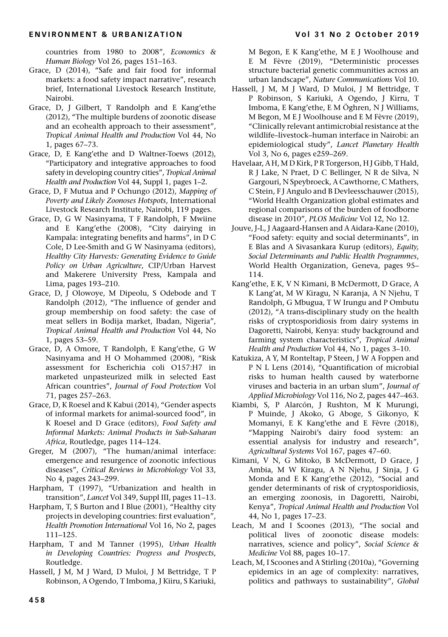countries from 1980 to 2008", *Economics & Human Biology* Vol 26, pages 151–163.

- Grace, D (2014), "Safe and fair food for informal markets: a food safety impact narrative", research brief, International Livestock Research Institute, Nairobi.
- Grace, D, J Gilbert, T Randolph and E Kang'ethe (2012), "The multiple burdens of zoonotic disease and an ecohealth approach to their assessment", *Tropical Animal Health and Production* Vol 44, No 1, pages 67–73.
- Grace, D, E Kang'ethe and D Waltner-Toews (2012), "Participatory and integrative approaches to food safety in developing country cities", *Tropical Animal Health and Production* Vol 44, Suppl 1, pages 1–2.
- Grace, D, F Mutua and P Ochungo (2012), *Mapping of Poverty and Likely Zoonoses Hotspots*, International Livestock Research Institute, Nairobi, 119 pages.
- Grace, D, G W Nasinyama, T F Randolph, F Mwiine and E Kang'ethe (2008), "City dairying in Kampala: integrating benefits and harms", in D C Cole, D Lee-Smith and G W Nasinyama (editors), *Healthy City Harvests: Generating Evidence to Guide Policy on Urban Agriculture*, CIP/Urban Harvest and Makerere University Press, Kampala and Lima, pages 193–210.
- Grace, D, J Olowoye, M Dipeolu, S Odebode and T Randolph (2012), "The influence of gender and group membership on food safety: the case of meat sellers in Bodija market, Ibadan, Nigeria", *Tropical Animal Health and Production* Vol 44, No 1, pages 53–59.
- Grace, D, A Omore, T Randolph, E Kang'ethe, G W Nasinyama and H O Mohammed (2008), "Risk assessment for Escherichia coli O157:H7 in marketed unpasteurized milk in selected East African countries", *Journal of Food Protection* Vol 71, pages 257–263.
- Grace, D, K Roesel and K Kabui (2014), "Gender aspects of informal markets for animal-sourced food", in K Roesel and D Grace (editors), *Food Safety and Informal Markets: Animal Products in Sub-Saharan Africa*, Routledge, pages 114–124.
- Greger, M (2007), "The human/animal interface: emergence and resurgence of zoonotic infectious diseases", *Critical Reviews in Microbiology* Vol 33, No 4, pages 243–299.
- Harpham, T (1997), "Urbanization and health in transition", *Lancet* Vol 349, Suppl III, pages 11–13.
- Harpham, T, S Burton and I Blue (2001), "Healthy city projects in developing countries: first evaluation", *Health Promotion International* Vol 16, No 2, pages 111–125.
- Harpham, T and M Tanner (1995), *Urban Health in Developing Countries: Progress and Prospects*, Routledge.
- Hassell, J M, M J Ward, D Muloi, J M Bettridge, T P Robinson, A Ogendo, T Imboma, J Kiiru, S Kariuki,

M Begon, E K Kang'ethe, M E J Woolhouse and E M Fèvre (2019), "Deterministic processes structure bacterial genetic communities across an urban landscape", *Nature Communications* Vol 10.

- Hassell, J M, M J Ward, D Muloi, J M Bettridge, T P Robinson, S Kariuki, A Ogendo, J Kirru, T Imboma, E Kang'ethe, E M Öghren, N J Williams, M Begon, M E J Woolhouse and E M Fèvre (2019), "Clinically relevant antimicrobial resistance at the wildlife–livestock–human interface in Nairobi: an epidemiological study", *Lancet Planetary Health* Vol 3, No 6, pages e259–269.
- Havelaar, A H, M D Kirk, P R Torgerson, H J Gibb, T Hald, R J Lake, N Praet, D C Bellinger, N R de Silva, N Gargouri, N Speybroeck, A Cawthorne, C Mathers, C Stein, F J Angulo and B Devleesschauwer (2015), "World Health Organization global estimates and regional comparisons of the burden of foodborne disease in 2010", *PLOS Medicine* Vol 12, No 12.
- Jouve, J-L, J Aagaard-Hansen and A Aidara-Kane (2010), "Food safety: equity and social determinants", in E Blas and A Sivasankara Kurup (editors), *Equity, Social Determinants and Public Health Programmes*, World Health Organization, Geneva, pages 95– 114.
- Kang'ethe, E K, V N Kimani, B McDermott, D Grace, A K Lang'at, M W Kiragu, N Karanja, A N Njehu, T Randolph, G Mbugua, T W Irungu and P Ombutu (2012), "A trans-disciplinary study on the health risks of cryptosporidiosis from dairy systems in Dagoretti, Nairobi, Kenya: study background and farming system characteristics", *Tropical Animal Health and Production* Vol 44, No 1, pages 3–10.
- Katukiza, A Y, M Ronteltap, P Steen, J W A Foppen and P N L Lens (2014), "Quantification of microbial risks to human health caused by waterborne viruses and bacteria in an urban slum", *Journal of Applied Microbiology* Vol 116, No 2, pages 447–463.
- Kiambi, S, P Alarcón, J Rushton, M K Murungi, P Muinde, J Akoko, G Aboge, S Gikonyo, K Momanyi, E K Kang'ethe and E Fèvre (2018), "Mapping Nairobi's dairy food system: an essential analysis for industry and research", *Agricultural Systems* Vol 167, pages 47–60.
- Kimani, V N, G Mitoko, B McDermott, D Grace, J Ambia, M W Kiragu, A N Njehu, J Sinja, J G Monda and E K Kang'ethe (2012), "Social and gender determinants of risk of cryptosporidiosis, an emerging zoonosis, in Dagoretti, Nairobi, Kenya", *Tropical Animal Health and Production* Vol 44, No 1, pages 17–23.
- Leach, M and I Scoones (2013), "The social and political lives of zoonotic disease models: narratives, science and policy", *Social Science & Medicine* Vol 88, pages 10–17.
- Leach, M, I Scoones and A Stirling (2010a), "Governing epidemics in an age of complexity: narratives, politics and pathways to sustainability", *Global*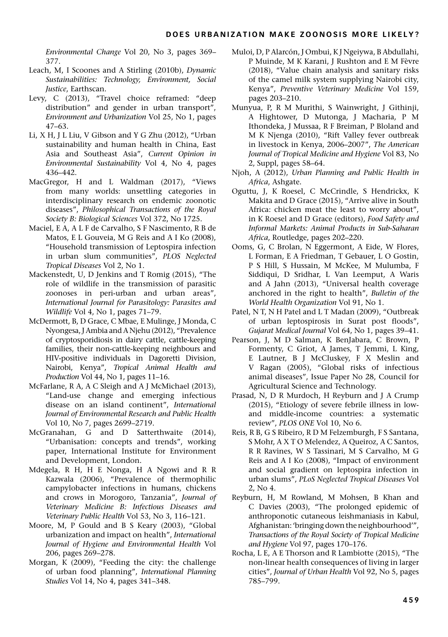*Environmental Change* Vol 20, No 3, pages 369– 377.

- Leach, M, I Scoones and A Stirling (2010b), *Dynamic Sustainabilities: Technology, Environment, Social Justice*, Earthscan.
- Levy, C (2013), "Travel choice reframed: "deep distribution" and gender in urban transport", *Environment and Urbanization* Vol 25, No 1, pages 47–63.
- Li, X H, J L Liu, V Gibson and Y G Zhu (2012), "Urban sustainability and human health in China, East Asia and Southeast Asia", *Current Opinion in Environmental Sustainability* Vol 4, No 4, pages 436–442.
- MacGregor, H and L Waldman (2017), "Views from many worlds: unsettling categories in interdisciplinary research on endemic zoonotic diseases", *Philosophical Transactions of the Royal Society B: Biological Sciences* Vol 372, No 1725.
- Maciel, E A, A L F de Carvalho, S F Nascimento, R B de Matos, E L Gouveia, M G Reis and A I Ko (2008), "Household transmission of Leptospira infection in urban slum communities", *PLOS Neglected Tropical Diseases* Vol 2, No 1.
- Mackenstedt, U, D Jenkins and T Romig (2015), "The role of wildlife in the transmission of parasitic zoonoses in peri-urban and urban areas", *International Journal for Parasitology: Parasites and Wildlife* Vol 4, No 1, pages 71–79.
- McDermott, B, D Grace, C Mbae, E Mulinge, J Monda, C Nyongesa, J Ambia and A Njehu (2012), "Prevalence of cryptosporidiosis in dairy cattle, cattle-keeping families, their non-cattle-keeping neighbours and HIV-positive individuals in Dagoretti Division, Nairobi, Kenya", *Tropical Animal Health and Production* Vol 44, No 1, pages 11–16.
- McFarlane, R A, A C Sleigh and A J McMichael (2013), "Land-use change and emerging infectious disease on an island continent", *International Journal of Environmental Research and Public Health* Vol 10, No 7, pages 2699–2719.
- McGranahan, G and D Satterthwaite (2014), "Urbanisation: concepts and trends", working paper, International Institute for Environment and Development, London.
- Mdegela, R H, H E Nonga, H A Ngowi and R R Kazwala (2006), "Prevalence of thermophilic campylobacter infections in humans, chickens and crows in Morogoro, Tanzania", *Journal of Veterinary Medicine B: Infectious Diseases and Veterinary Public Health* Vol 53, No 3, 116–121.
- Moore, M, P Gould and B S Keary (2003), "Global urbanization and impact on health", *International Journal of Hygiene and Environmental Health* Vol 206, pages 269–278.
- Morgan, K (2009), "Feeding the city: the challenge of urban food planning", *International Planning Studies* Vol 14, No 4, pages 341–348.
- Muloi, D, P Alarcón, J Ombui, K J Ngeiywa, B Abdullahi, P Muinde, M K Karani, J Rushton and E M Fèvre (2018), "Value chain analysis and sanitary risks of the camel milk system supplying Nairobi city, Kenya", *Preventive Veterinary Medicine* Vol 159, pages 203–210.
- Munyua, P, R M Murithi, S Wainwright, J Githinji, A Hightower, D Mutonga, J Macharia, P M Ithondeka, J Mussaa, R F Breiman, P Bloland and M K Njenga (2010), "Rift Valley fever outbreak in livestock in Kenya, 2006–2007", *The American Journal of Tropical Medicine and Hygiene* Vol 83, No 2, Suppl, pages 58–64.
- Njoh, A (2012), *Urban Planning and Public Health in Africa*, Ashgate.
- Oguttu, J, K Roesel, C McCrindle, S Hendrickx, K Makita and D Grace (2015), "Arrive alive in South Africa: chicken meat the least to worry about", in K Roesel and D Grace (editors), *Food Safety and Informal Markets: Animal Products in Sub-Saharan Africa*, Routledge, pages 202–220.
- Ooms, G, C Brolan, N Eggermont, A Eide, W Flores, L Forman, E A Friedman, T Gebauer, L O Gostin, P S Hill, S Hussain, M McKee, M Mulumba, F Siddiqui, D Sridhar, L Van Leemput, A Waris and A Jahn (2013), "Universal health coverage anchored in the right to health", *Bulletin of the World Health Organization* Vol 91, No 1.
- Patel, N T, N H Patel and L T Madan (2009), "Outbreak of urban leptospirosis in Surat post floods", *Gujarat Medical Journal* Vol 64, No 1, pages 39–41.
- Pearson, J, M D Salman, K BenJabara, C Brown, P Formenty, C Griot, A James, T Jemmi, L King, E Lautner, B J McCluskey, F X Meslin and V Ragan (2005), "Global risks of infectious animal diseases", Issue Paper No 28, Council for Agricultural Science and Technology.
- Prasad, N, D R Murdoch, H Reyburn and J A Crump (2015), "Etiology of severe febrile illness in lowand middle-income countries: a systematic review", *PLOS ONE* Vol 10, No 6.
- Reis, R B, G S Ribeiro, R D M Felzemburgh, F S Santana, S Mohr, A X T O Melendez, A Queiroz, A C Santos, R R Ravines, W S Tassinari, M S Carvalho, M G Reis and A I Ko (2008), "Impact of environment and social gradient on leptospira infection in urban slums", *PLoS Neglected Tropical Diseases* Vol 2, No 4.
- Reyburn, H, M Rowland, M Mohsen, B Khan and C Davies (2003), "The prolonged epidemic of anthroponotic cutaneous leishmaniasis in Kabul, Afghanistan: 'bringing down the neighbourhood'", *Transactions of the Royal Society of Tropical Medicine and Hygiene* Vol 97, pages 170–176.
- Rocha, L E, A E Thorson and R Lambiotte (2015), "The non-linear health consequences of living in larger cities", *Journal of Urban Health* Vol 92, No 5, pages 785–799.